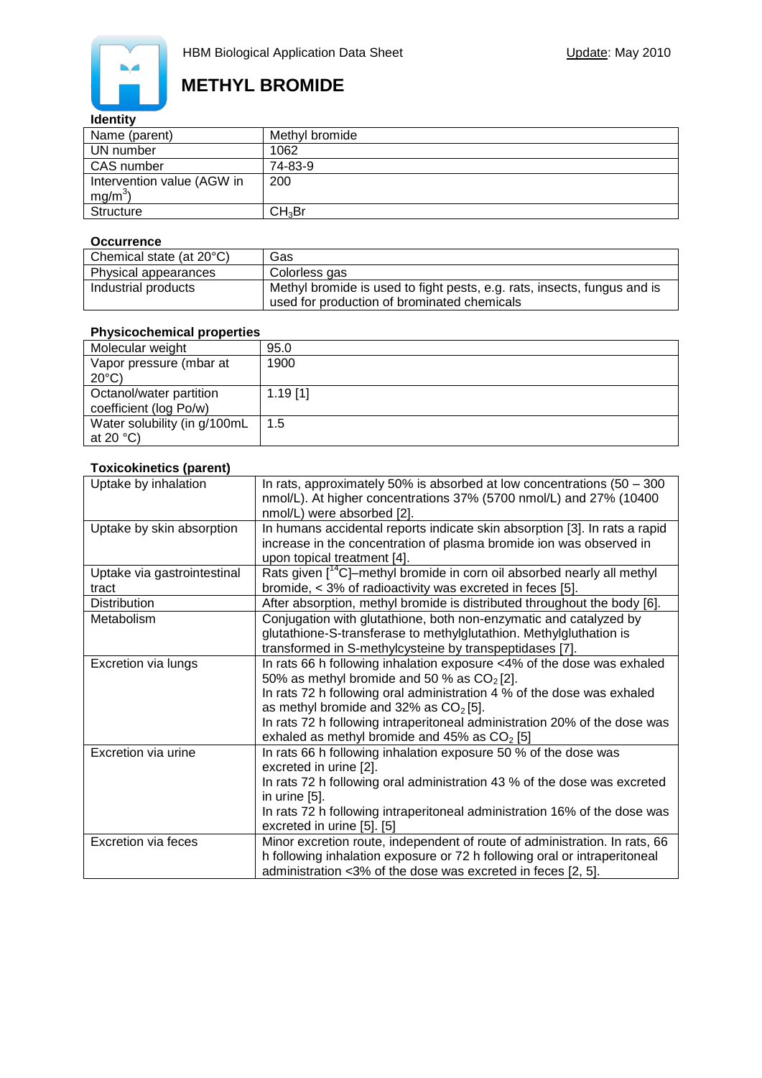

### **Identity**

| Name (parent)              | Methyl bromide     |
|----------------------------|--------------------|
| UN number                  | 1062               |
| CAS number                 | 74-83-9            |
| Intervention value (AGW in | 200                |
| $mg/m^3$                   |                    |
| Structure                  | CH <sub>3</sub> Br |

#### **Occurrence**

| Chemical state (at 20°C) | Gas                                                                                                                     |
|--------------------------|-------------------------------------------------------------------------------------------------------------------------|
| Physical appearances     | Colorless gas                                                                                                           |
| Industrial products      | Methyl bromide is used to fight pests, e.g. rats, insects, fungus and is<br>used for production of brominated chemicals |

| <b>Physicochemical properties</b> |            |  |  |  |
|-----------------------------------|------------|--|--|--|
| Molecular weight                  | 95.0       |  |  |  |
| Vapor pressure (mbar at           | 1900       |  |  |  |
| $20^{\circ}$ C)                   |            |  |  |  |
| Octanol/water partition           | $1.19$ [1] |  |  |  |
| coefficient (log Po/w)            |            |  |  |  |
| Water solubility (in g/100mL      | 1.5        |  |  |  |
| at 20 $°C$ )                      |            |  |  |  |

#### **Toxicokinetics (parent)**

| Uptake by inhalation        | In rats, approximately 50% is absorbed at low concentrations $(50 - 300)$           |
|-----------------------------|-------------------------------------------------------------------------------------|
|                             | nmol/L). At higher concentrations 37% (5700 nmol/L) and 27% (10400                  |
|                             | nmol/L) were absorbed [2].                                                          |
| Uptake by skin absorption   | In humans accidental reports indicate skin absorption [3]. In rats a rapid          |
|                             | increase in the concentration of plasma bromide ion was observed in                 |
|                             | upon topical treatment [4].                                                         |
| Uptake via gastrointestinal | Rats given [ <sup>14</sup> C]-methyl bromide in corn oil absorbed nearly all methyl |
| tract                       | bromide, < 3% of radioactivity was excreted in feces [5].                           |
| <b>Distribution</b>         | After absorption, methyl bromide is distributed throughout the body [6].            |
| Metabolism                  | Conjugation with glutathione, both non-enzymatic and catalyzed by                   |
|                             | glutathione-S-transferase to methylglutathion. Methylgluthation is                  |
|                             | transformed in S-methylcysteine by transpeptidases [7].                             |
| Excretion via lungs         | In rats 66 h following inhalation exposure <4% of the dose was exhaled              |
|                             | 50% as methyl bromide and 50 % as $CO2[2]$ .                                        |
|                             | In rats 72 h following oral administration 4 % of the dose was exhaled              |
|                             | as methyl bromide and 32% as $CO2[5]$ .                                             |
|                             | In rats 72 h following intraperitoneal administration 20% of the dose was           |
|                             | exhaled as methyl bromide and 45% as $CO2$ [5]                                      |
| Excretion via urine         | In rats 66 h following inhalation exposure 50 % of the dose was                     |
|                             | excreted in urine [2].                                                              |
|                             | In rats 72 h following oral administration 43 % of the dose was excreted            |
|                             | in urine $[5]$ .                                                                    |
|                             | In rats 72 h following intraperitoneal administration 16% of the dose was           |
|                             | excreted in urine [5]. [5]                                                          |
| <b>Excretion via feces</b>  | Minor excretion route, independent of route of administration. In rats, 66          |
|                             | h following inhalation exposure or 72 h following oral or intraperitoneal           |
|                             | administration <3% of the dose was excreted in feces [2, 5].                        |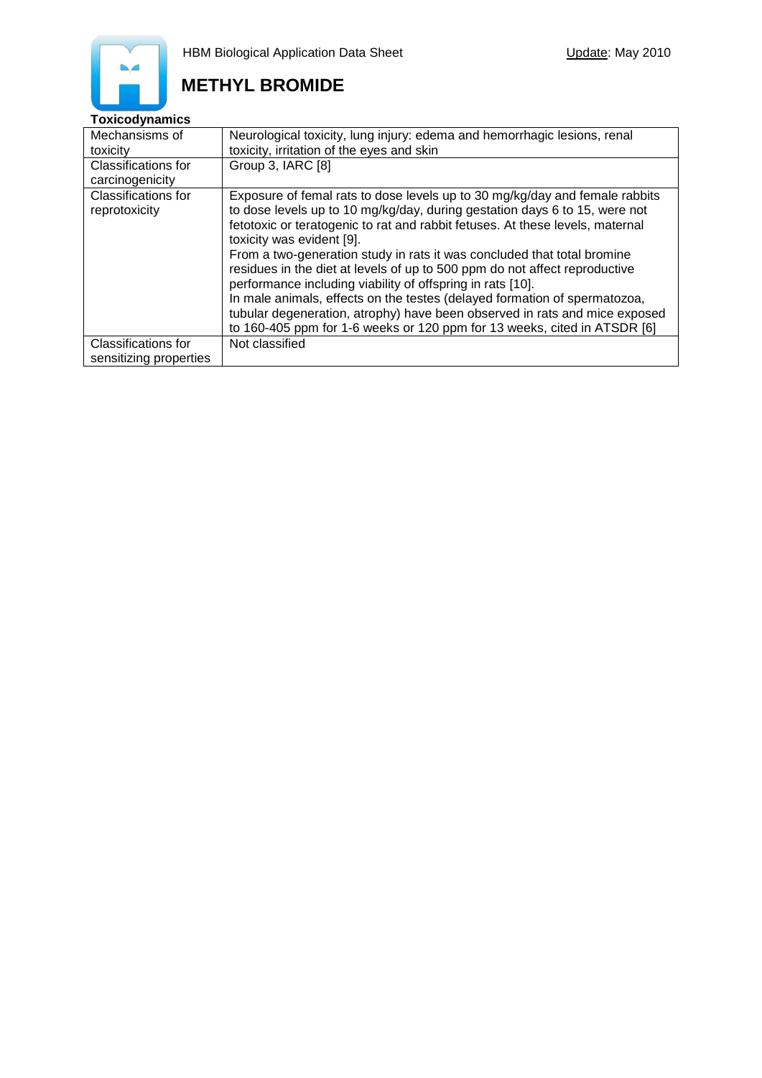### **Toxicodynamics**

| Mechansisms of                                       | Neurological toxicity, lung injury: edema and hemorrhagic lesions, renal                                                                                                                                                                                                                                                                                                                                                                                   |
|------------------------------------------------------|------------------------------------------------------------------------------------------------------------------------------------------------------------------------------------------------------------------------------------------------------------------------------------------------------------------------------------------------------------------------------------------------------------------------------------------------------------|
| toxicity                                             | toxicity, irritation of the eyes and skin                                                                                                                                                                                                                                                                                                                                                                                                                  |
| Classifications for                                  | Group 3, IARC [8]                                                                                                                                                                                                                                                                                                                                                                                                                                          |
| carcinogenicity                                      |                                                                                                                                                                                                                                                                                                                                                                                                                                                            |
| Classifications for<br>reprotoxicity                 | Exposure of femal rats to dose levels up to 30 mg/kg/day and female rabbits<br>to dose levels up to 10 mg/kg/day, during gestation days 6 to 15, were not<br>fetotoxic or teratogenic to rat and rabbit fetuses. At these levels, maternal<br>toxicity was evident [9].                                                                                                                                                                                    |
|                                                      | From a two-generation study in rats it was concluded that total bromine<br>residues in the diet at levels of up to 500 ppm do not affect reproductive<br>performance including viability of offspring in rats [10].<br>In male animals, effects on the testes (delayed formation of spermatozoa,<br>tubular degeneration, atrophy) have been observed in rats and mice exposed<br>to 160-405 ppm for 1-6 weeks or 120 ppm for 13 weeks, cited in ATSDR [6] |
| <b>Classifications for</b><br>sensitizing properties | Not classified                                                                                                                                                                                                                                                                                                                                                                                                                                             |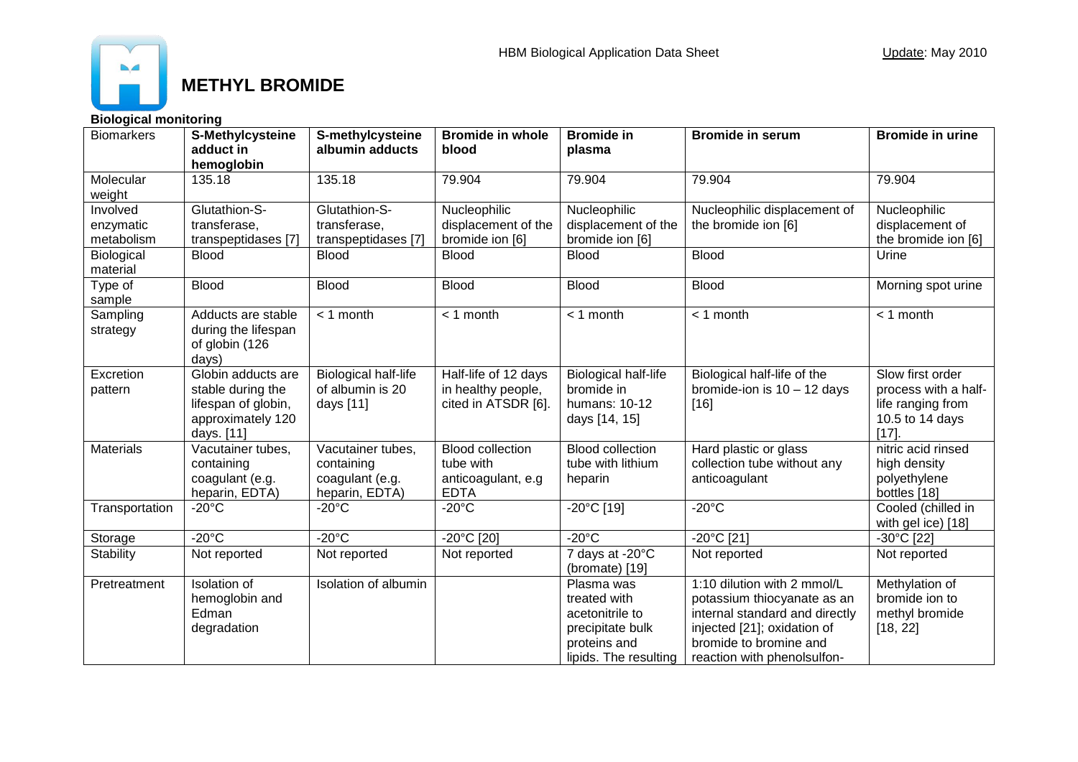

**Biological monitoring**

| <b>Biomarkers</b>                   | S-Methylcysteine<br>adduct in<br>hemoglobin                                                       | S-methylcysteine<br>albumin adducts                                  | <b>Bromide in whole</b><br>blood                                          | <b>Bromide in</b><br>plasma                                                                                | <b>Bromide in serum</b>                                                                                                                                                              | <b>Bromide in urine</b>                                                                    |
|-------------------------------------|---------------------------------------------------------------------------------------------------|----------------------------------------------------------------------|---------------------------------------------------------------------------|------------------------------------------------------------------------------------------------------------|--------------------------------------------------------------------------------------------------------------------------------------------------------------------------------------|--------------------------------------------------------------------------------------------|
| Molecular<br>weight                 | 135.18                                                                                            | 135.18                                                               | 79.904                                                                    | 79.904                                                                                                     | 79.904                                                                                                                                                                               | 79.904                                                                                     |
| Involved<br>enzymatic<br>metabolism | Glutathion-S-<br>transferase,<br>transpeptidases [7]                                              | Glutathion-S-<br>transferase,<br>transpeptidases [7]                 | Nucleophilic<br>displacement of the<br>bromide ion [6]                    | Nucleophilic<br>displacement of the<br>bromide ion [6]                                                     | Nucleophilic displacement of<br>the bromide ion [6]                                                                                                                                  | Nucleophilic<br>displacement of<br>the bromide ion [6]                                     |
| Biological<br>material              | <b>Blood</b>                                                                                      | <b>Blood</b>                                                         | <b>Blood</b>                                                              | <b>Blood</b>                                                                                               | <b>Blood</b>                                                                                                                                                                         | Urine                                                                                      |
| Type of<br>sample                   | <b>Blood</b>                                                                                      | <b>Blood</b>                                                         | <b>Blood</b>                                                              | <b>Blood</b>                                                                                               | <b>Blood</b>                                                                                                                                                                         | Morning spot urine                                                                         |
| Sampling<br>strategy                | Adducts are stable<br>during the lifespan<br>of globin (126<br>days)                              | $< 1$ month                                                          | $<$ 1 month                                                               | $<$ 1 month                                                                                                | $<$ 1 month                                                                                                                                                                          | $<$ 1 month                                                                                |
| Excretion<br>pattern                | Globin adducts are<br>stable during the<br>lifespan of globin,<br>approximately 120<br>days. [11] | <b>Biological half-life</b><br>of albumin is 20<br>days [11]         | Half-life of 12 days<br>in healthy people,<br>cited in ATSDR [6].         | <b>Biological half-life</b><br>bromide in<br>humans: 10-12<br>days [14, 15]                                | Biological half-life of the<br>bromide-ion is $10 - 12$ days<br>$[16]$                                                                                                               | Slow first order<br>process with a half-<br>life ranging from<br>10.5 to 14 days<br>$[17]$ |
| <b>Materials</b>                    | Vacutainer tubes,<br>containing<br>coagulant (e.g.<br>heparin, EDTA)                              | Vacutainer tubes,<br>containing<br>coagulant (e.g.<br>heparin, EDTA) | <b>Blood collection</b><br>tube with<br>anticoagulant, e.g<br><b>EDTA</b> | <b>Blood collection</b><br>tube with lithium<br>heparin                                                    | Hard plastic or glass<br>collection tube without any<br>anticoagulant                                                                                                                | nitric acid rinsed<br>high density<br>polyethylene<br>bottles [18]                         |
| Transportation                      | $-20^{\circ}$ C                                                                                   | $-20^{\circ}$ C                                                      | $-20^{\circ}$ C                                                           | $-20^{\circ}$ C [19]                                                                                       | $-20^{\circ}$ C                                                                                                                                                                      | Cooled (chilled in<br>with gel ice) [18]                                                   |
| Storage                             | $-20^{\circ}$ C                                                                                   | $-20^{\circ}$ C                                                      | -20°C [20]                                                                | $-20^{\circ}$ C                                                                                            | $-20^{\circ}$ C [21]                                                                                                                                                                 | -30°C [22]                                                                                 |
| <b>Stability</b>                    | Not reported                                                                                      | Not reported                                                         | Not reported                                                              | 7 days at -20°C<br>(bromate) [19]                                                                          | Not reported                                                                                                                                                                         | Not reported                                                                               |
| Pretreatment                        | <b>Isolation of</b><br>hemoglobin and<br>Edman<br>degradation                                     | Isolation of albumin                                                 |                                                                           | Plasma was<br>treated with<br>acetonitrile to<br>precipitate bulk<br>proteins and<br>lipids. The resulting | 1:10 dilution with 2 mmol/L<br>potassium thiocyanate as an<br>internal standard and directly<br>injected [21]; oxidation of<br>bromide to bromine and<br>reaction with phenolsulfon- | Methylation of<br>bromide ion to<br>methyl bromide<br>[18, 22]                             |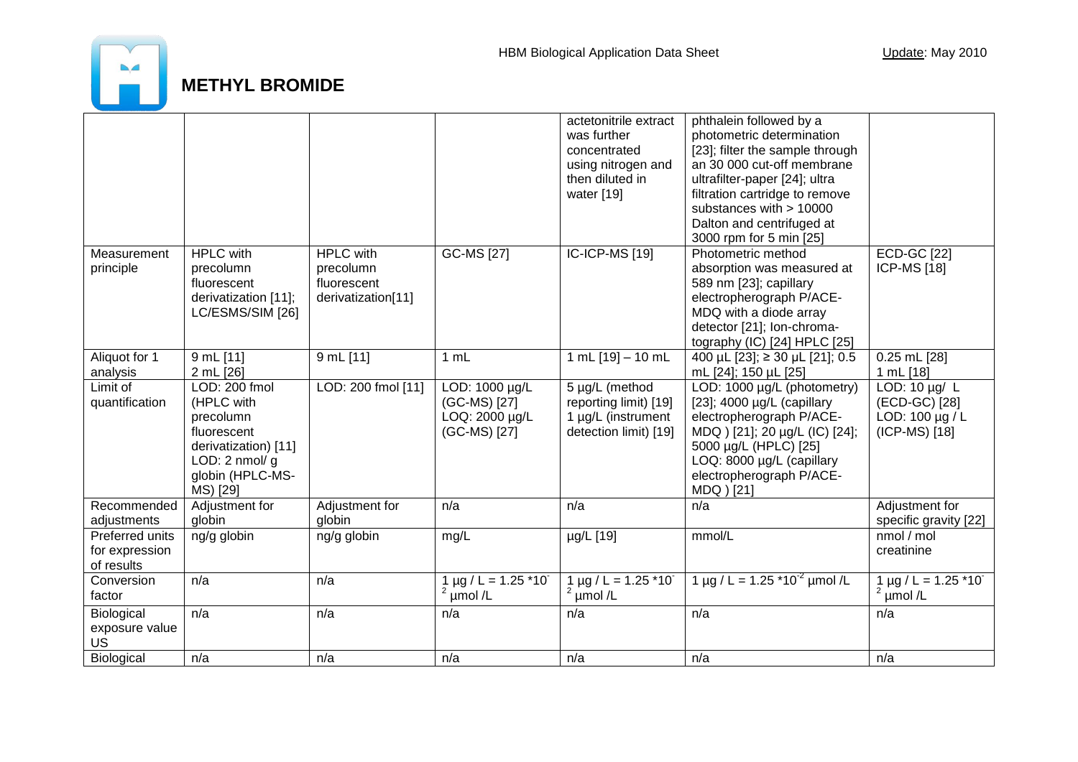

|                   |                         |                    |                           | actetonitrile extract               | phthalein followed by a            |                           |
|-------------------|-------------------------|--------------------|---------------------------|-------------------------------------|------------------------------------|---------------------------|
|                   |                         |                    |                           | was further                         | photometric determination          |                           |
|                   |                         |                    |                           | concentrated                        | [23]; filter the sample through    |                           |
|                   |                         |                    |                           | using nitrogen and                  | an 30 000 cut-off membrane         |                           |
|                   |                         |                    |                           | then diluted in                     | ultrafilter-paper [24]; ultra      |                           |
|                   |                         |                    |                           | water [19]                          | filtration cartridge to remove     |                           |
|                   |                         |                    |                           |                                     | substances with > 10000            |                           |
|                   |                         |                    |                           |                                     | Dalton and centrifuged at          |                           |
|                   |                         |                    |                           |                                     | 3000 rpm for 5 min [25]            |                           |
| Measurement       | <b>HPLC</b> with        | <b>HPLC</b> with   | <b>GC-MS [27]</b>         | <b>IC-ICP-MS [19]</b>               | Photometric method                 | <b>ECD-GC [22]</b>        |
| principle         | precolumn               | precolumn          |                           |                                     | absorption was measured at         | <b>ICP-MS [18]</b>        |
|                   | fluorescent             | fluorescent        |                           |                                     | 589 nm [23]; capillary             |                           |
|                   | derivatization [11];    | derivatization[11] |                           |                                     | electropherograph P/ACE-           |                           |
|                   | LC/ESMS/SIM [26]        |                    |                           |                                     | MDQ with a diode array             |                           |
|                   |                         |                    |                           |                                     | detector [21]; Ion-chroma-         |                           |
|                   |                         |                    |                           |                                     | tography (IC) [24] HPLC [25]       |                           |
| Aliquot for 1     | 9 mL [11]               | 9 mL [11]          | 1 mL                      | 1 mL $[19] - 10$ mL                 | 400 µL [23]; ≥ 30 µL [21]; 0.5     | 0.25 mL [28]              |
| analysis          | 2 mL [26]               |                    |                           |                                     | mL [24]; 150 µL [25]               | 1 mL [18]                 |
| Limit of          | LOD: 200 fmol           | LOD: 200 fmol [11] | LOD: 1000 µg/L            | 5 µg/L (method                      | LOD: 1000 µg/L (photometry)        | LOD: $10 \mu g / L$       |
| quantification    | (HPLC with              |                    | (GC-MS) [27]              | reporting limit) [19]               | [23]; $4000 \mu g/L$ (capillary    | (ECD-GC) [28]             |
|                   | precolumn               |                    | LOQ: 2000 µg/L            | 1 µg/L (instrument                  | electropherograph P/ACE-           | LOD: 100 µg / L           |
|                   | fluorescent             |                    | (GC-MS) [27]              | detection limit) [19]               | MDQ ) [21]; 20 µg/L (IC) [24];     | (ICP-MS) [18]             |
|                   | derivatization) [11]    |                    |                           |                                     | 5000 µg/L (HPLC) [25]              |                           |
|                   | LOD: $2 \text{ nmol/g}$ |                    |                           |                                     | LOQ: 8000 µg/L (capillary          |                           |
|                   | globin (HPLC-MS-        |                    |                           |                                     | electropherograph P/ACE-           |                           |
|                   | MS) [29]                |                    |                           |                                     | MDQ ) [21]                         |                           |
| Recommended       | Adjustment for          | Adjustment for     | n/a                       | n/a                                 | n/a                                | Adjustment for            |
| adjustments       | globin                  | globin             |                           |                                     |                                    | specific gravity [22]     |
| Preferred units   | ng/g globin             | ng/g globin        | mg/L                      | µg/L [19]                           | mmol/L                             | nmol / mol                |
| for expression    |                         |                    |                           |                                     |                                    | creatinine                |
| of results        |                         |                    |                           |                                     |                                    |                           |
| Conversion        | n/a                     | n/a                | $1 \mu g / L = 1.25 * 10$ | $1 \mu g / L = 1.25 \times 10^{-7}$ | 1 µg / L = 1.25 $*10^{-2}$ µmol /L | $1 \mu g / L = 1.25 * 10$ |
| factor            |                         |                    | umol/L                    | $2 \mu$ mol/L                       |                                    | µmol/L                    |
|                   |                         |                    |                           |                                     |                                    |                           |
| Biological        | n/a                     | n/a                | n/a                       | n/a                                 | n/a                                | n/a                       |
| exposure value    |                         |                    |                           |                                     |                                    |                           |
| <b>US</b>         |                         |                    |                           |                                     |                                    |                           |
| <b>Biological</b> | n/a                     | n/a                | n/a                       | n/a                                 | n/a                                | n/a                       |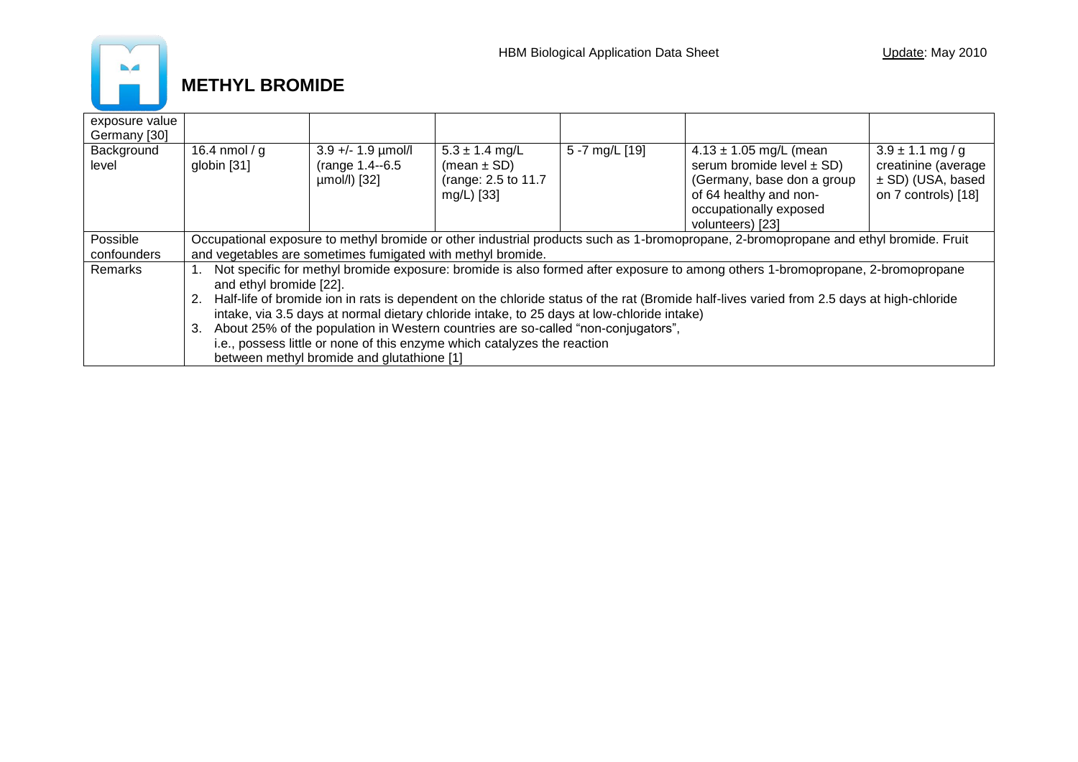

| exposure value<br>Germany [30] |                                                                                                                                                           |                                                          |                                                                             |                |                                                                                                                                                                   |                                                                                           |  |
|--------------------------------|-----------------------------------------------------------------------------------------------------------------------------------------------------------|----------------------------------------------------------|-----------------------------------------------------------------------------|----------------|-------------------------------------------------------------------------------------------------------------------------------------------------------------------|-------------------------------------------------------------------------------------------|--|
| Background<br>level            | 16.4 nmol / g<br>globin [31]                                                                                                                              | $3.9 +/- 1.9$ µmol/l<br>(range 1.4--6.5)<br>umol/l) [32] | $5.3 \pm 1.4$ mg/L<br>(mean $\pm$ SD)<br>(range: 2.5 to 11.7)<br>mg/L) [33] | 5 -7 mg/L [19] | $4.13 \pm 1.05$ mg/L (mean<br>serum bromide level $\pm$ SD)<br>(Germany, base don a group<br>of 64 healthy and non-<br>occupationally exposed<br>volunteers) [23] | $3.9 \pm 1.1$ mg/g<br>creatinine (average<br>$\pm$ SD) (USA, based<br>on 7 controls) [18] |  |
| Possible                       | Occupational exposure to methyl bromide or other industrial products such as 1-bromopropane, 2-bromopropane and ethyl bromide. Fruit                      |                                                          |                                                                             |                |                                                                                                                                                                   |                                                                                           |  |
| confounders                    | and vegetables are sometimes fumigated with methyl bromide.                                                                                               |                                                          |                                                                             |                |                                                                                                                                                                   |                                                                                           |  |
| Remarks                        | Not specific for methyl bromide exposure: bromide is also formed after exposure to among others 1-bromopropane, 2-bromopropane<br>and ethyl bromide [22]. |                                                          |                                                                             |                |                                                                                                                                                                   |                                                                                           |  |
|                                | Half-life of bromide ion in rats is dependent on the chloride status of the rat (Bromide half-lives varied from 2.5 days at high-chloride                 |                                                          |                                                                             |                |                                                                                                                                                                   |                                                                                           |  |
|                                | intake, via 3.5 days at normal dietary chloride intake, to 25 days at low-chloride intake)                                                                |                                                          |                                                                             |                |                                                                                                                                                                   |                                                                                           |  |
|                                | About 25% of the population in Western countries are so-called "non-conjugators",<br>3.                                                                   |                                                          |                                                                             |                |                                                                                                                                                                   |                                                                                           |  |
|                                | i.e., possess little or none of this enzyme which catalyzes the reaction                                                                                  |                                                          |                                                                             |                |                                                                                                                                                                   |                                                                                           |  |
|                                | between methyl bromide and glutathione [1]                                                                                                                |                                                          |                                                                             |                |                                                                                                                                                                   |                                                                                           |  |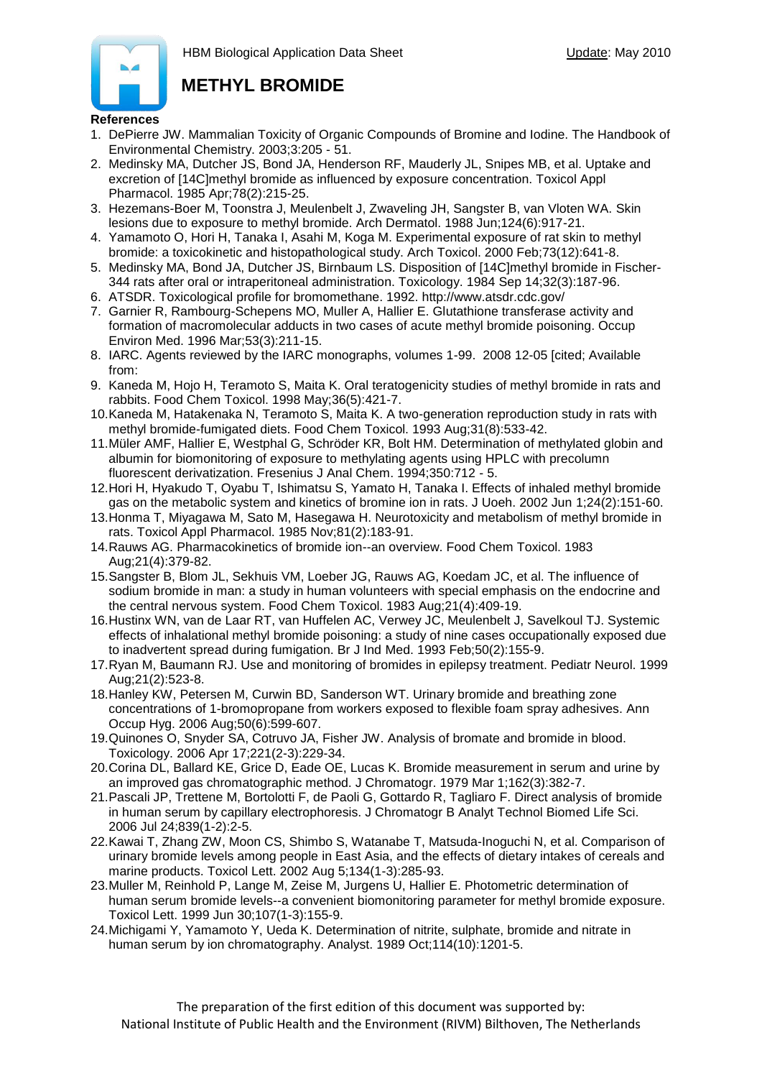

#### **References**

- 1. DePierre JW. Mammalian Toxicity of Organic Compounds of Bromine and Iodine. The Handbook of Environmental Chemistry. 2003;3:205 - 51.
- 2. Medinsky MA, Dutcher JS, Bond JA, Henderson RF, Mauderly JL, Snipes MB, et al. Uptake and excretion of [14C]methyl bromide as influenced by exposure concentration. Toxicol Appl Pharmacol. 1985 Apr;78(2):215-25.
- 3. Hezemans-Boer M, Toonstra J, Meulenbelt J, Zwaveling JH, Sangster B, van Vloten WA. Skin lesions due to exposure to methyl bromide. Arch Dermatol. 1988 Jun;124(6):917-21.
- 4. Yamamoto O, Hori H, Tanaka I, Asahi M, Koga M. Experimental exposure of rat skin to methyl bromide: a toxicokinetic and histopathological study. Arch Toxicol. 2000 Feb;73(12):641-8.
- 5. Medinsky MA, Bond JA, Dutcher JS, Birnbaum LS. Disposition of [14C]methyl bromide in Fischer-344 rats after oral or intraperitoneal administration. Toxicology. 1984 Sep 14;32(3):187-96.
- 6. ATSDR. Toxicological profile for bromomethane. 1992. http://www.atsdr.cdc.gov/
- 7. Garnier R, Rambourg-Schepens MO, Muller A, Hallier E. Glutathione transferase activity and formation of macromolecular adducts in two cases of acute methyl bromide poisoning. Occup Environ Med. 1996 Mar;53(3):211-15.
- 8. IARC. Agents reviewed by the IARC monographs, volumes 1-99. 2008 12-05 [cited; Available from:
- 9. Kaneda M, Hojo H, Teramoto S, Maita K. Oral teratogenicity studies of methyl bromide in rats and rabbits. Food Chem Toxicol. 1998 May;36(5):421-7.
- 10.Kaneda M, Hatakenaka N, Teramoto S, Maita K. A two-generation reproduction study in rats with methyl bromide-fumigated diets. Food Chem Toxicol. 1993 Aug;31(8):533-42.
- 11.Müler AMF, Hallier E, Westphal G, Schröder KR, Bolt HM. Determination of methylated globin and albumin for biomonitoring of exposure to methylating agents using HPLC with precolumn fluorescent derivatization. Fresenius J Anal Chem. 1994;350:712 - 5.
- 12.Hori H, Hyakudo T, Oyabu T, Ishimatsu S, Yamato H, Tanaka I. Effects of inhaled methyl bromide gas on the metabolic system and kinetics of bromine ion in rats. J Uoeh. 2002 Jun 1;24(2):151-60.
- 13.Honma T, Miyagawa M, Sato M, Hasegawa H. Neurotoxicity and metabolism of methyl bromide in rats. Toxicol Appl Pharmacol. 1985 Nov;81(2):183-91.
- 14.Rauws AG. Pharmacokinetics of bromide ion--an overview. Food Chem Toxicol. 1983 Aug;21(4):379-82.
- 15.Sangster B, Blom JL, Sekhuis VM, Loeber JG, Rauws AG, Koedam JC, et al. The influence of sodium bromide in man: a study in human volunteers with special emphasis on the endocrine and the central nervous system. Food Chem Toxicol. 1983 Aug;21(4):409-19.
- 16.Hustinx WN, van de Laar RT, van Huffelen AC, Verwey JC, Meulenbelt J, Savelkoul TJ. Systemic effects of inhalational methyl bromide poisoning: a study of nine cases occupationally exposed due to inadvertent spread during fumigation. Br J Ind Med. 1993 Feb;50(2):155-9.
- 17.Ryan M, Baumann RJ. Use and monitoring of bromides in epilepsy treatment. Pediatr Neurol. 1999 Aug;21(2):523-8.
- 18.Hanley KW, Petersen M, Curwin BD, Sanderson WT. Urinary bromide and breathing zone concentrations of 1-bromopropane from workers exposed to flexible foam spray adhesives. Ann Occup Hyg. 2006 Aug;50(6):599-607.
- 19.Quinones O, Snyder SA, Cotruvo JA, Fisher JW. Analysis of bromate and bromide in blood. Toxicology. 2006 Apr 17;221(2-3):229-34.
- 20.Corina DL, Ballard KE, Grice D, Eade OE, Lucas K. Bromide measurement in serum and urine by an improved gas chromatographic method. J Chromatogr. 1979 Mar 1;162(3):382-7.
- 21.Pascali JP, Trettene M, Bortolotti F, de Paoli G, Gottardo R, Tagliaro F. Direct analysis of bromide in human serum by capillary electrophoresis. J Chromatogr B Analyt Technol Biomed Life Sci. 2006 Jul 24;839(1-2):2-5.
- 22.Kawai T, Zhang ZW, Moon CS, Shimbo S, Watanabe T, Matsuda-Inoguchi N, et al. Comparison of urinary bromide levels among people in East Asia, and the effects of dietary intakes of cereals and marine products. Toxicol Lett. 2002 Aug 5;134(1-3):285-93.
- 23.Muller M, Reinhold P, Lange M, Zeise M, Jurgens U, Hallier E. Photometric determination of human serum bromide levels--a convenient biomonitoring parameter for methyl bromide exposure. Toxicol Lett. 1999 Jun 30;107(1-3):155-9.
- 24.Michigami Y, Yamamoto Y, Ueda K. Determination of nitrite, sulphate, bromide and nitrate in human serum by ion chromatography. Analyst. 1989 Oct;114(10):1201-5.